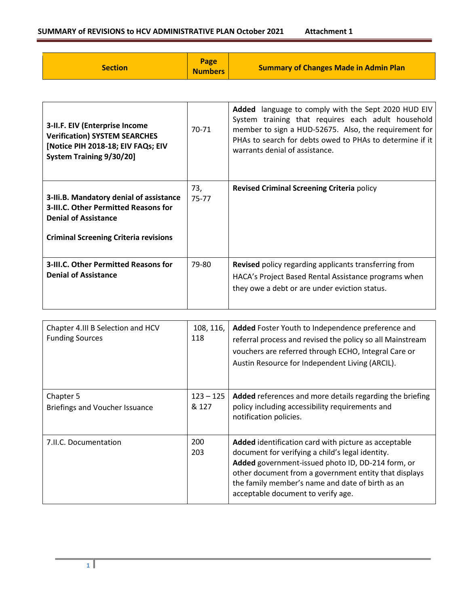## **SUMMARY of REVISIONS to HCV ADMINISTRATIVE PLAN October 2021 Attachment 1**

| <b>Section</b>                                                                                                                                                        | Page<br><b>Numbers</b> | <b>Summary of Changes Made in Admin Plan</b>                                                                                                                                                                                                                     |
|-----------------------------------------------------------------------------------------------------------------------------------------------------------------------|------------------------|------------------------------------------------------------------------------------------------------------------------------------------------------------------------------------------------------------------------------------------------------------------|
|                                                                                                                                                                       |                        |                                                                                                                                                                                                                                                                  |
| 3-II.F. EIV (Enterprise Income<br><b>Verification) SYSTEM SEARCHES</b><br>[Notice PIH 2018-18; EIV FAQs; EIV<br><b>System Training 9/30/20]</b>                       | 70-71                  | Added language to comply with the Sept 2020 HUD EIV<br>System training that requires each adult household<br>member to sign a HUD-52675. Also, the requirement for<br>PHAs to search for debts owed to PHAs to determine if it<br>warrants denial of assistance. |
| 3-III.B. Mandatory denial of assistance<br><b>3-III.C. Other Permitted Reasons for</b><br><b>Denial of Assistance</b><br><b>Criminal Screening Criteria revisions</b> | 73,<br>75-77           | Revised Criminal Screening Criteria policy                                                                                                                                                                                                                       |
| 3-III.C. Other Permitted Reasons for<br><b>Denial of Assistance</b>                                                                                                   | 79-80                  | Revised policy regarding applicants transferring from<br>HACA's Project Based Rental Assistance programs when<br>they owe a debt or are under eviction status.                                                                                                   |

| Chapter 4.III B Selection and HCV<br><b>Funding Sources</b> | 108, 116,<br>118     | Added Foster Youth to Independence preference and<br>referral process and revised the policy so all Mainstream<br>vouchers are referred through ECHO, Integral Care or<br>Austin Resource for Independent Living (ARCIL).                                                                                        |
|-------------------------------------------------------------|----------------------|------------------------------------------------------------------------------------------------------------------------------------------------------------------------------------------------------------------------------------------------------------------------------------------------------------------|
| Chapter 5<br>Briefings and Voucher Issuance                 | $123 - 125$<br>& 127 | Added references and more details regarding the briefing<br>policy including accessibility requirements and<br>notification policies.                                                                                                                                                                            |
| 7.II.C. Documentation                                       | 200<br>203           | Added identification card with picture as acceptable<br>document for verifying a child's legal identity.<br>Added government-issued photo ID, DD-214 form, or<br>other document from a government entity that displays<br>the family member's name and date of birth as an<br>acceptable document to verify age. |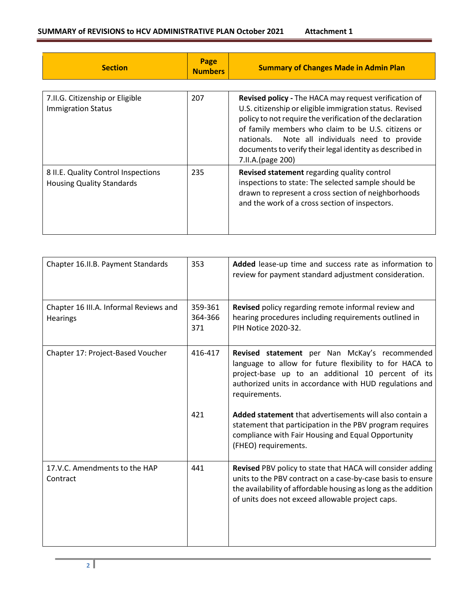| <b>Section</b>                                                          | Page<br><b>Numbers</b> | <b>Summary of Changes Made in Admin Plan</b>                                                                                                                                                                                                                                                                                                                                |
|-------------------------------------------------------------------------|------------------------|-----------------------------------------------------------------------------------------------------------------------------------------------------------------------------------------------------------------------------------------------------------------------------------------------------------------------------------------------------------------------------|
| 7.II.G. Citizenship or Eligible<br><b>Immigration Status</b>            | 207                    | Revised policy - The HACA may request verification of<br>U.S. citizenship or eligible immigration status. Revised<br>policy to not require the verification of the declaration<br>of family members who claim to be U.S. citizens or<br>Note all individuals need to provide<br>nationals.<br>documents to verify their legal identity as described in<br>7.II.A.(page 200) |
| 8 II.E. Quality Control Inspections<br><b>Housing Quality Standards</b> | 235                    | Revised statement regarding quality control<br>inspections to state: The selected sample should be<br>drawn to represent a cross section of neighborhoods<br>and the work of a cross section of inspectors.                                                                                                                                                                 |

| Chapter 16.II.B. Payment Standards                 | 353                       | Added lease-up time and success rate as information to<br>review for payment standard adjustment consideration.                                                                                                                                 |
|----------------------------------------------------|---------------------------|-------------------------------------------------------------------------------------------------------------------------------------------------------------------------------------------------------------------------------------------------|
| Chapter 16 III.A. Informal Reviews and<br>Hearings | 359-361<br>364-366<br>371 | Revised policy regarding remote informal review and<br>hearing procedures including requirements outlined in<br>PIH Notice 2020-32.                                                                                                             |
| Chapter 17: Project-Based Voucher                  | 416-417                   | Revised statement per Nan McKay's recommended<br>language to allow for future flexibility to for HACA to<br>project-base up to an additional 10 percent of its<br>authorized units in accordance with HUD regulations and<br>requirements.      |
|                                                    | 421                       | Added statement that advertisements will also contain a<br>statement that participation in the PBV program requires<br>compliance with Fair Housing and Equal Opportunity<br>(FHEO) requirements.                                               |
| 17.V.C. Amendments to the HAP<br>Contract          | 441                       | Revised PBV policy to state that HACA will consider adding<br>units to the PBV contract on a case-by-case basis to ensure<br>the availability of affordable housing as long as the addition<br>of units does not exceed allowable project caps. |